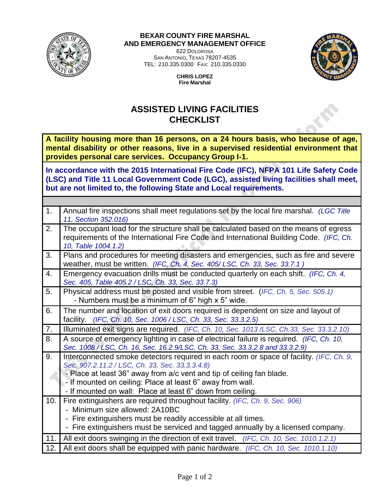

## **BEXAR COUNTY FIRE MARSHAL AND EMERGENCY MANAGEMENT OFFICE**

622 DOLOROSA SAN ANTONIO, TEXAS 78207-4535 TEL: 210.335.0300 FAX: 210.335.0330



**CHRIS LOPEZ Fire Marshal**

## **ASSISTED LIVING FACILITIES CHECKLIST**

**A facility housing more than 16 persons, on a 24 hours basis, who because of age, mental disability or other reasons, live in a supervised residential environment that provides personal care services. Occupancy Group I-1.**

**In accordance with the 2015 International Fire Code (IFC), NFPA 101 Life Safety Code (LSC) and Title 11 Local Government Code (LGC), assisted living facilities shall meet, but are not limited to, the following State and Local requirements.** 

| 1.  | Annual fire inspections shall meet regulations set by the local fire marshal. (LGC Title<br>11, Section 352.016)                                                                                      |  |
|-----|-------------------------------------------------------------------------------------------------------------------------------------------------------------------------------------------------------|--|
| 2.  | The occupant load for the structure shall be calculated based on the means of egress<br>requirements of the International Fire Code and International Building Code. (IFC, Ch.<br>10, Table 1004.1.2) |  |
| 3.  | Plans and procedures for meeting disasters and emergencies, such as fire and severe<br>weather, must be written. (IFC, Ch. 4, Sec. 405/LSC, Ch. 33, Sec. 33.7.1)                                      |  |
| 4.  | Emergency evacuation drills must be conducted quarterly on each shift. (IFC, Ch. 4,<br>Sec. 405, Table 405.2 / LSC, Ch. 33, Sec. 33.7.3)                                                              |  |
| 5.  | Physical address must be posted and visible from street. (IFC, Ch. 5, Sec. 505.1)<br>- Numbers must be a minimum of 6" high x 5" wide.                                                                |  |
| 6.  | The number and location of exit doors required is dependent on size and layout of<br>facility. (IFC, Ch. 10, Sec. 1006 / LSC, Ch. 33, Sec. 33.3.2.5)                                                  |  |
| 7.  | Illuminated exit signs are required. (IFC, Ch. 10, Sec. 1013/LSC, Ch.33, Sec. 33.3.2.10)                                                                                                              |  |
| 8.  | A source of emergency lighting in case of electrical failure is required. (IFC, Ch. 10,<br>Sec. 1008 / LSC, Ch. 16, Sec. 16.2.9/LSC. Ch. 33, Sec. 33.3.2.8 and 33.3.2.9)                              |  |
| 9.  | Interconnected smoke detectors required in each room or space of facility. (IFC, Ch. 9,<br>Sec. 907.2.11.2 / LSC, Ch. 33, Sec. 33.3.3.4.8)                                                            |  |
|     | - Place at least 36" away from a/c vent and tip of ceiling fan blade.                                                                                                                                 |  |
|     | - If mounted on ceiling: Place at least 6" away from wall.                                                                                                                                            |  |
|     | - If mounted on wall: Place at least 6" down from ceiling.                                                                                                                                            |  |
| 10. | Fire extinguishers are required throughout facility. (IFC, Ch. 9, Sec. 906)<br>- Minimum size allowed: 2A10BC                                                                                         |  |
|     | - Fire extinguishers must be readily accessible at all times.                                                                                                                                         |  |
|     | - Fire extinguishers must be serviced and tagged annually by a licensed company.                                                                                                                      |  |
| 11. | All exit doors swinging in the direction of exit travel. (IFC, Ch. 10, Sec. 1010.1.2.1)                                                                                                               |  |
| 12. | All exit doors shall be equipped with panic hardware. (IFC, Ch. 10, Sec. 1010.1.10)                                                                                                                   |  |